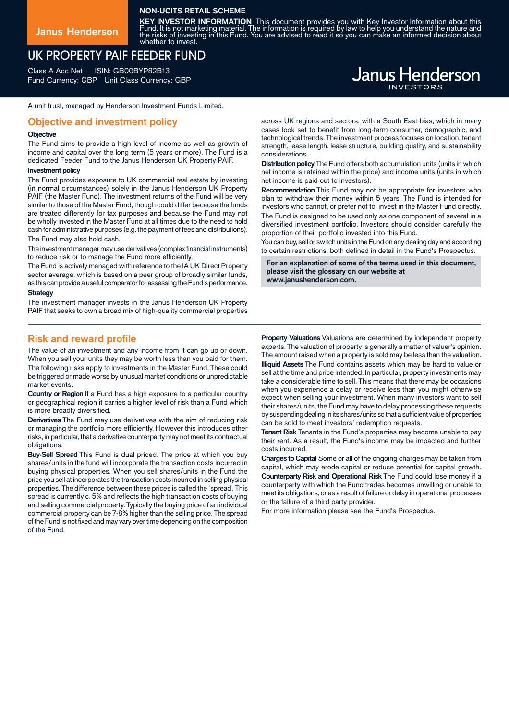### **NON-UCITS RETAIL SCHEME**

**Janus Henderson**

**KEY INVESTOR INFORMATION** This document provides you with Key Investor Information about this<br>Fund. It is not marketing material. The information is required by law to help you understand the nature and<br>the risks of inves whether to invest.

# UK PROPERTY PAIF FEEDER FUND

Class A Acc Net ISIN: GB00BYP82B13 Fund Currency: GBP Unit Class Currency: GBP

A unit trust, managed by Henderson Investment Funds Limited.

### **Objective and investment policy**

#### **Objective**

The Fund aims to provide a high level of income as well as growth of income and capital over the long term (5 years or more). The Fund is a dedicated Feeder Fund to the Janus Henderson UK Property PAIF.

#### **Investment policy**

The Fund provides exposure to UK commercial real estate by investing (in normal circumstances) solely in the Janus Henderson UK Property PAIF (the Master Fund). The investment returns of the Fund will be very similar to those of the Master Fund, though could differ because the funds are treated differently for tax purposes and because the Fund may not be wholly invested in the Master Fund at all times due to the need to hold cash for administrative purposes (e.g.the payment of fees and distributions). The Fund may also hold cash.

The investment manager may use derivatives (complex financial instruments) to reduce risk or to manage the Fund more efficiently.

The Fund is actively managed with reference to the IA UK Direct Property sector average, which is based on a peer group of broadly similar funds, as this can provide a useful comparator for assessing the Fund's performance.

#### **Strategy**

The investment manager invests in the Janus Henderson UK Property PAIF that seeks to own a broad mix of high-quality commercial properties

### **Risk and reward profile**

The value of an investment and any income from it can go up or down. When you sell your units they may be worth less than you paid for them. The following risks apply to investments in the Master Fund. These could be triggered or made worse by unusual market conditions or unpredictable market events.

**Country or Region** If a Fund has a high exposure to a particular country or geographical region it carries a higher level of risk than a Fund which is more broadly diversified.

**Derivatives** The Fund may use derivatives with the aim of reducing risk or managing the portfolio more efficiently. However this introduces other risks, in particular, that a derivative counterparty may not meet its contractual obligations.

**Buy-Sell Spread** This Fund is dual priced. The price at which you buy shares/units in the fund will incorporate the transaction costs incurred in buying physical properties. When you sell shares/units in the Fund the price you sell at incorporates the transaction costs incurred in selling physical properties. The difference between these prices is called the 'spread'. This spread is currently c. 5% and reflects the high transaction costs of buying and selling commercial property. Typically the buying price of an individual commercial property can be 7-8% higher than the selling price. The spread of the Fund is not fixed and may vary over time depending on the composition of the Fund.

across UK regions and sectors, with a South East bias, which in many cases look set to benefit from long-term consumer, demographic, and technological trends. The investment process focuses on location, tenant strength, lease length, lease structure, building quality, and sustainability considerations.

**Distribution policy** The Fund offers both accumulation units (units in which net income is retained within the price) and income units (units in which net income is paid out to investors).

**Recommendation** This Fund may not be appropriate for investors who plan to withdraw their money within 5 years. The Fund is intended for investors who cannot, or prefer not to, invest in the Master Fund directly. The Fund is designed to be used only as one component of several in a diversified investment portfolio. Investors should consider carefully the proportion of their portfolio invested into this Fund.

You can buy, sell or switch units in the Fund on any dealing day and according to certain restrictions, both defined in detail in the Fund's Prospectus.

**For an explanation of some of the terms used in this document, please visit the glossary on our website at www.janushenderson.com.**

**Property Valuations** Valuations are determined by independent property experts. The valuation of property is generally a matter of valuer's opinion. The amount raised when a property is sold may be less than the valuation. **Illiquid Assets** The Fund contains assets which may be hard to value or sell at the time and price intended. In particular, property investments may take a considerable time to sell. This means that there may be occasions when you experience a delay or receive less than you might otherwise expect when selling your investment. When many investors want to sell their shares/units, the Fund may have to delay processing these requests by suspending dealing in its shares/units sothat a sufficient value of properties can be sold to meet investors' redemption requests.

**Tenant Risk** Tenants in the Fund's properties may become unable to pay their rent. As a result, the Fund's income may be impacted and further costs incurred.

**Charges to Capital** Some or all of the ongoing charges may be taken from capital, which may erode capital or reduce potential for capital growth. **Counterparty Risk and Operational Risk** The Fund could lose money if a counterparty with which the Fund trades becomes unwilling or unable to meet its obligations, or as a result of failure or delay in operational processes or the failure of a third party provider.

For more information please see the Fund's Prospectus.